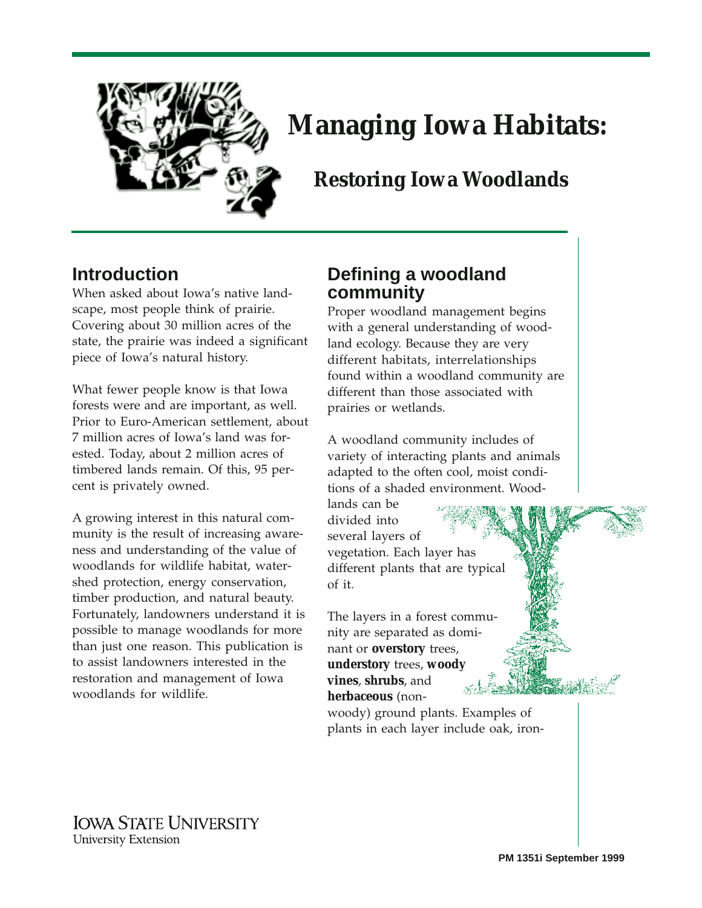

# **Managing Iowa Habitats:**

# **Restoring Iowa Woodlands**

# **Introduction**

When asked about Iowa's native landscape, most people think of prairie. Covering about 30 million acres of the state, the prairie was indeed a significant piece of Iowa's natural history.

What fewer people know is that Iowa forests were and are important, as well. Prior to Euro-American settlement, about 7 million acres of Iowa's land was forested. Today, about 2 million acres of timbered lands remain. Of this, 95 percent is privately owned.

A growing interest in this natural community is the result of increasing awareness and understanding of the value of woodlands for wildlife habitat, watershed protection, energy conservation, timber production, and natural beauty. Fortunately, landowners understand it is possible to manage woodlands for more than just one reason. This publication is to assist landowners interested in the restoration and management of Iowa woodlands for wildlife.

# **Defining a woodland community**

Proper woodland management begins with a general understanding of woodland ecology. Because they are very different habitats, interrelationships found within a woodland community are different than those associated with prairies or wetlands.

A woodland community includes of variety of interacting plants and animals adapted to the often cool, moist conditions of a shaded environment. Wood-

lands can be divided into several layers of

vegetation. Each layer has different plants that are typical of it.

The layers in a forest community are separated as dominant or **overstory** trees, **understory** trees, **woody vines**, **shrubs**, and **herbaceous** (non-

woody) ground plants. Examples of plants in each layer include oak, iron-

**IOWA STATE UNIVERSITY University Extension**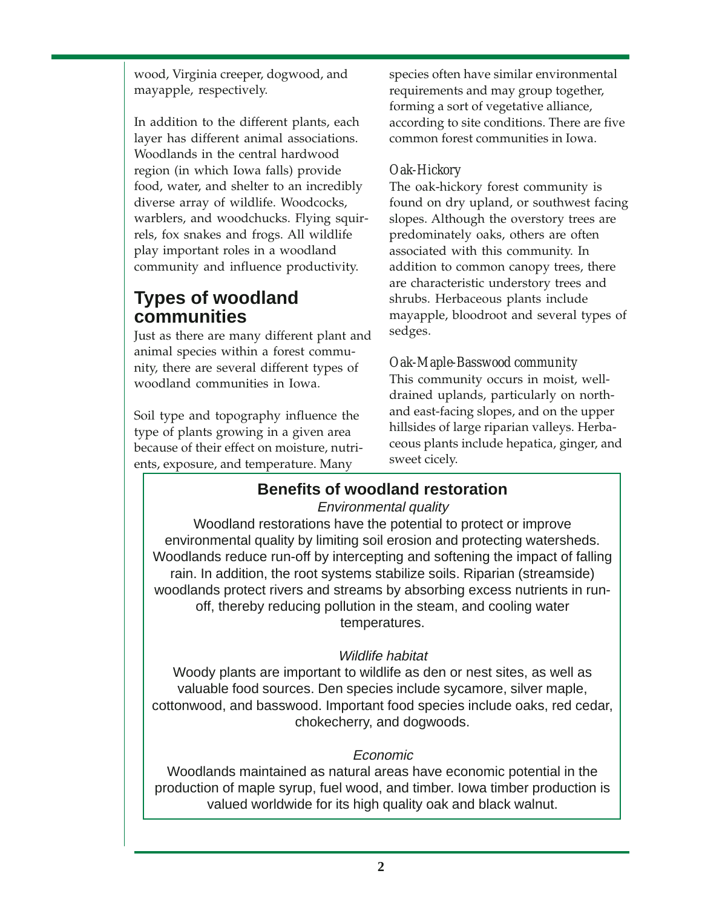wood, Virginia creeper, dogwood, and mayapple, respectively.

In addition to the different plants, each layer has different animal associations. Woodlands in the central hardwood region (in which Iowa falls) provide food, water, and shelter to an incredibly diverse array of wildlife. Woodcocks, warblers, and woodchucks. Flying squirrels, fox snakes and frogs. All wildlife play important roles in a woodland community and influence productivity.

# **Types of woodland communities**

Just as there are many different plant and animal species within a forest community, there are several different types of woodland communities in Iowa.

Soil type and topography influence the type of plants growing in a given area because of their effect on moisture, nutrients, exposure, and temperature. Many

species often have similar environmental requirements and may group together, forming a sort of vegetative alliance, according to site conditions. There are five common forest communities in Iowa.

## *Oak-Hickory*

The oak-hickory forest community is found on dry upland, or southwest facing slopes. Although the overstory trees are predominately oaks, others are often associated with this community. In addition to common canopy trees, there are characteristic understory trees and shrubs. Herbaceous plants include mayapple, bloodroot and several types of sedges.

#### *Oak-Maple-Basswood community*

This community occurs in moist, welldrained uplands, particularly on northand east-facing slopes, and on the upper hillsides of large riparian valleys. Herbaceous plants include hepatica, ginger, and sweet cicely.

# **Benefits of woodland restoration**

#### Environmental quality

Woodland restorations have the potential to protect or improve environmental quality by limiting soil erosion and protecting watersheds. Woodlands reduce run-off by intercepting and softening the impact of falling rain. In addition, the root systems stabilize soils. Riparian (streamside) woodlands protect rivers and streams by absorbing excess nutrients in runoff, thereby reducing pollution in the steam, and cooling water temperatures.

## Wildlife habitat

Woody plants are important to wildlife as den or nest sites, as well as valuable food sources. Den species include sycamore, silver maple, cottonwood, and basswood. Important food species include oaks, red cedar, chokecherry, and dogwoods.

## Economic

Woodlands maintained as natural areas have economic potential in the production of maple syrup, fuel wood, and timber. Iowa timber production is valued worldwide for its high quality oak and black walnut.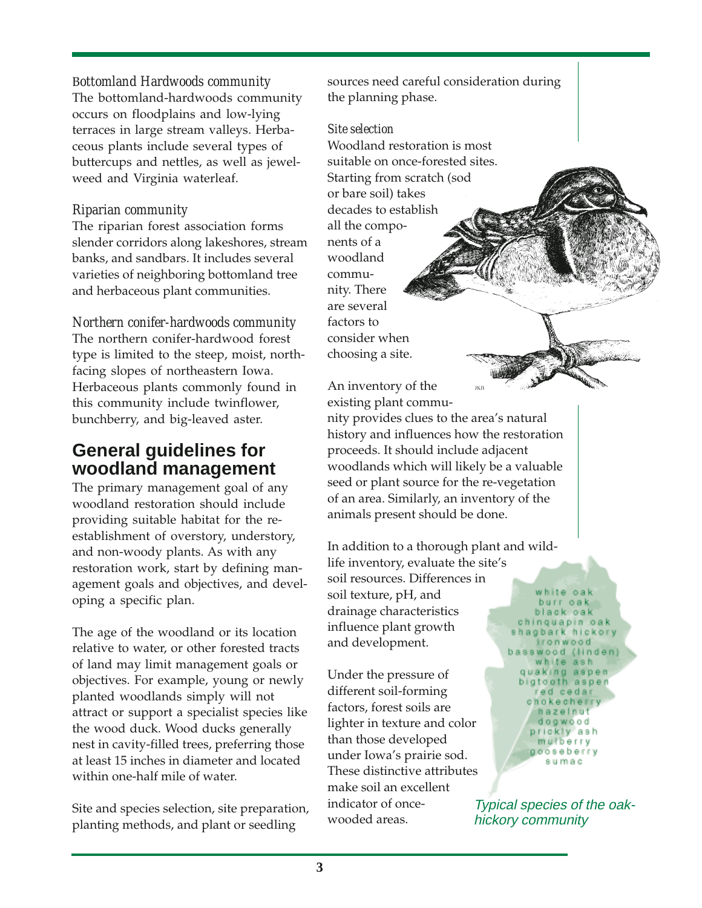#### B*ottomland Hardwoods community*

The bottomland-hardwoods community occurs on floodplains and low-lying terraces in large stream valleys. Herbaceous plants include several types of buttercups and nettles, as well as jewelweed and Virginia waterleaf.

#### *Riparian community*

The riparian forest association forms slender corridors along lakeshores, stream banks, and sandbars. It includes several varieties of neighboring bottomland tree and herbaceous plant communities.

# *Northern conifer-hardwoods community*

The northern conifer-hardwood forest type is limited to the steep, moist, northfacing slopes of northeastern Iowa. Herbaceous plants commonly found in this community include twinflower, bunchberry, and big-leaved aster.

# **General guidelines for woodland management**

The primary management goal of any woodland restoration should include providing suitable habitat for the reestablishment of overstory, understory, and non-woody plants. As with any restoration work, start by defining management goals and objectives, and developing a specific plan.

The age of the woodland or its location relative to water, or other forested tracts of land may limit management goals or objectives. For example, young or newly planted woodlands simply will not attract or support a specialist species like the wood duck. Wood ducks generally nest in cavity-filled trees, preferring those at least 15 inches in diameter and located within one-half mile of water.

Site and species selection, site preparation, planting methods, and plant or seedling

sources need careful consideration during the planning phase.

#### *Site selection*

Woodland restoration is most suitable on once-forested sites. Starting from scratch (sod or bare soil) takes decades to establish all the components of a woodland community. There are several factors to consider when choosing a site.



nity provides clues to the area's natural history and influences how the restoration proceeds. It should include adjacent woodlands which will likely be a valuable seed or plant source for the re-vegetation of an area. Similarly, an inventory of the animals present should be done.

In addition to a thorough plant and wildlife inventory, evaluate the site's soil resources. Differences in soil texture, pH, and drainage characteristics influence plant growth

Under the pressure of different soil-forming factors, forest soils are lighter in texture and color than those developed under Iowa's prairie sod. These distinctive attributes make soil an excellent indicator of oncewooded areas.

and development.

white oak burr oak black oak chinquapin oak hagbark hicko ironwood swood (lind white ash guaking aspen bigtooth aspen ed cedar chokecherr hazelnut dogwood prickly ash mulberry gooseberry sumac

Typical species of the oakhickory community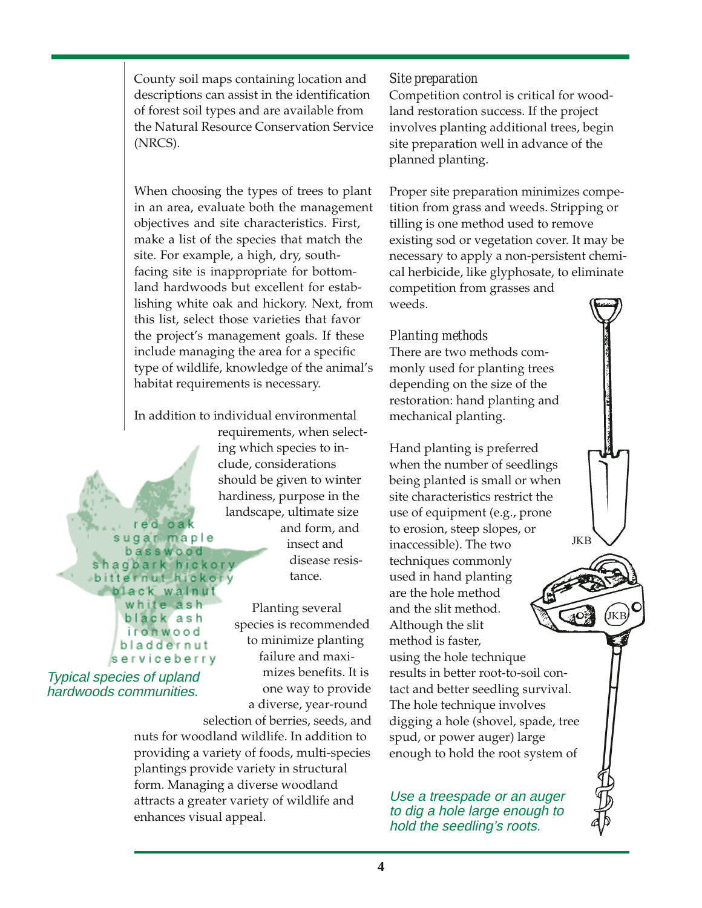County soil maps containing location and descriptions can assist in the identification of forest soil types and are available from the Natural Resource Conservation Service (NRCS).

When choosing the types of trees to plant in an area, evaluate both the management objectives and site characteristics. First, make a list of the species that match the site. For example, a high, dry, southfacing site is inappropriate for bottomland hardwoods but excellent for establishing white oak and hickory. Next, from this list, select those varieties that favor the project's management goals. If these include managing the area for a specific type of wildlife, knowledge of the animal's habitat requirements is necessary.

In addition to individual environmental

requirements, when selecting which species to include, considerations should be given to winter hardiness, purpose in the landscape, ultimate size and form, and insect and

disease resistance.

Planting several species is recommended to minimize planting failure and maximizes benefits. It is one way to provide a diverse, year-round

selection of berries, seeds, and nuts for woodland wildlife. In addition to providing a variety of foods, multi-species plantings provide variety in structural form. Managing a diverse woodland attracts a greater variety of wildlife and enhances visual appeal.

### *Site preparation*

Competition control is critical for woodland restoration success. If the project involves planting additional trees, begin site preparation well in advance of the planned planting.

Proper site preparation minimizes competition from grass and weeds. Stripping or tilling is one method used to remove existing sod or vegetation cover. It may be necessary to apply a non-persistent chemical herbicide, like glyphosate, to eliminate competition from grasses and weeds.

# *Planting methods*

There are two methods commonly used for planting trees depending on the size of the restoration: hand planting and mechanical planting.

Hand planting is preferred when the number of seedlings being planted is small or when site characteristics restrict the use of equipment (e.g., prone to erosion, steep slopes, or **JKB** inaccessible). The two techniques commonly used in hand planting are the hole method and the slit method. Although the slit method is faster, using the hole technique results in better root-to-soil contact and better seedling survival. The hole technique involves digging a hole (shovel, spade, tree spud, or power auger) large enough to hold the root system of

Use a treespade or an auger to dig a hole large enough to hold the seedling's roots.

#### r e di  $0a$ sugat maple basswood agbark hickory bitternut hickory black walnut white ash black ash ironwood bladdernut serviceberry

Typical species of upland hardwoods communities.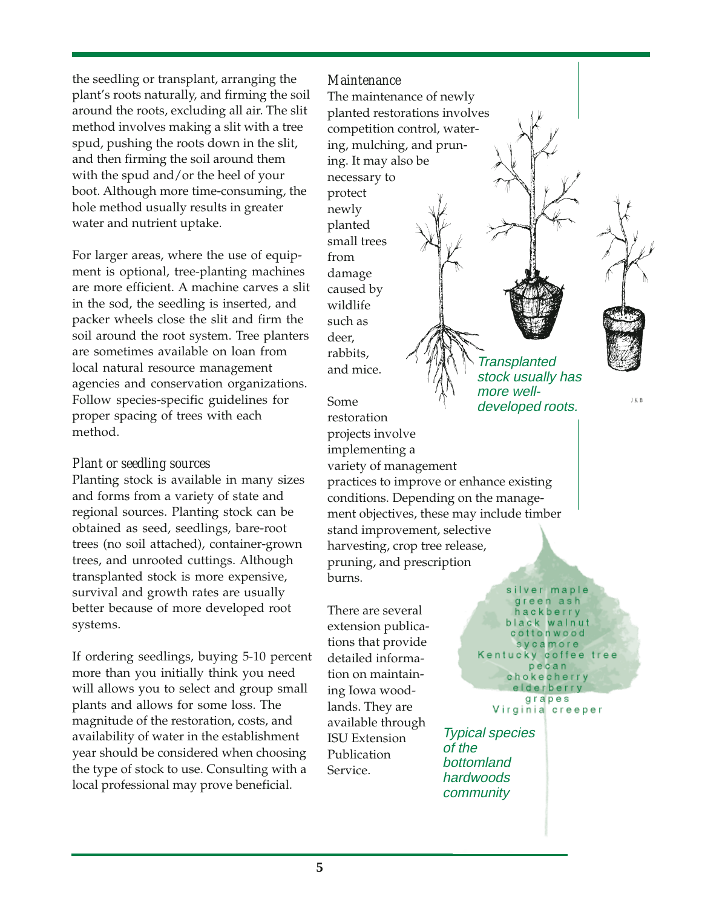the seedling or transplant, arranging the plant's roots naturally, and firming the soil around the roots, excluding all air. The slit method involves making a slit with a tree spud, pushing the roots down in the slit, and then firming the soil around them with the spud and/or the heel of your boot. Although more time-consuming, the hole method usually results in greater water and nutrient uptake.

For larger areas, where the use of equipment is optional, tree-planting machines are more efficient. A machine carves a slit in the sod, the seedling is inserted, and packer wheels close the slit and firm the soil around the root system. Tree planters are sometimes available on loan from local natural resource management agencies and conservation organizations. Follow species-specific guidelines for proper spacing of trees with each method.

#### *Plant or seedling sources*

Planting stock is available in many sizes and forms from a variety of state and regional sources. Planting stock can be obtained as seed, seedlings, bare-root trees (no soil attached), container-grown trees, and unrooted cuttings. Although transplanted stock is more expensive, survival and growth rates are usually better because of more developed root systems.

If ordering seedlings, buying 5-10 percent more than you initially think you need will allows you to select and group small plants and allows for some loss. The magnitude of the restoration, costs, and availability of water in the establishment year should be considered when choosing the type of stock to use. Consulting with a local professional may prove beneficial.

#### *Maintenance*

The maintenance of newly planted restorations involves competition control, watering, mulching, and pruning. It may also be necessary to protect newly planted small trees from damage caused by wildlife such as deer, rabbits, and mice.

Some restoration projects involve implementing a variety of management practices to improve or enhance existing conditions. Depending on the management objectives, these may include timber stand improvement, selective harvesting, crop tree release, pruning, and prescription burns. more welldeveloped roots.

There are several extension publications that provide detailed information on maintaining Iowa woodlands. They are available through ISU Extension Publication Service.

J K B

silver maple green ash hackberry black walnut cottonwood sycamore Kentucky coffee tree pecan chokecherry elderberry grapes

**Transplanted** stock usually has

Virginia creeper

Typical species of the bottomland hardwoods community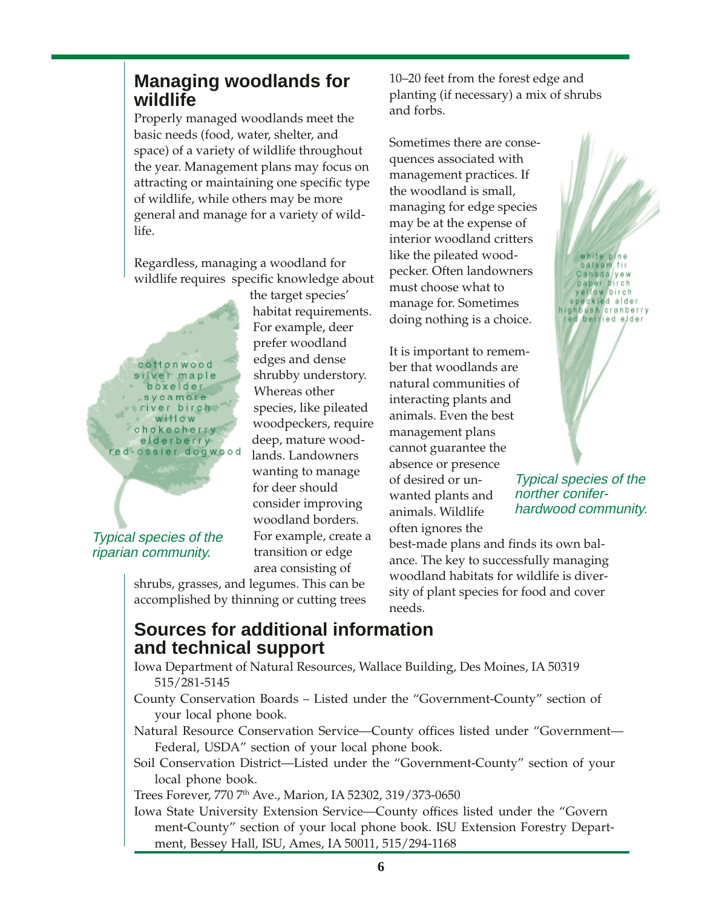# **Managing woodlands for wildlife**

Properly managed woodlands meet the basic needs (food, water, shelter, and space) of a variety of wildlife throughout the year. Management plans may focus on attracting or maintaining one specific type of wildlife, while others may be more general and manage for a variety of wildlife.

Regardless, managing a woodland for wildlife requires specific knowledge about

cottonwood silver maple boxelder sycamore river birch willow chokecherry elderberry ed-ossier dogwood

Typical species of the riparian community.

the target species' habitat requirements. For example, deer prefer woodland edges and dense shrubby understory. Whereas other species, like pileated woodpeckers, require deep, mature woodlands. Landowners wanting to manage for deer should consider improving woodland borders. For example, create a transition or edge area consisting of

shrubs, grasses, and legumes. This can be accomplished by thinning or cutting trees 10–20 feet from the forest edge and planting (if necessary) a mix of shrubs and forbs.

Sometimes there are consequences associated with management practices. If the woodland is small, managing for edge species may be at the expense of interior woodland critters like the pileated woodpecker. Often landowners must choose what to manage for. Sometimes doing nothing is a choice.

It is important to remember that woodlands are natural communities of interacting plants and animals. Even the best management plans cannot guarantee the absence or presence of desired or unwanted plants and animals. Wildlife often ignores the



Typical species of the norther coniferhardwood community.

best-made plans and finds its own balance. The key to successfully managing woodland habitats for wildlife is diversity of plant species for food and cover needs.

# **Sources for additional information and technical support**

Iowa Department of Natural Resources, Wallace Building, Des Moines, IA 50319 515/281-5145

County Conservation Boards – Listed under the "Government-County" section of your local phone book.

Natural Resource Conservation Service—County offices listed under "Government— Federal, USDA" section of your local phone book.

Soil Conservation District—Listed under the "Government-County" section of your local phone book.

Trees Forever, 770 7th Ave., Marion, IA 52302, 319/373-0650

Iowa State University Extension Service—County offices listed under the "Govern ment-County" section of your local phone book. ISU Extension Forestry Department, Bessey Hall, ISU, Ames, IA 50011, 515/294-1168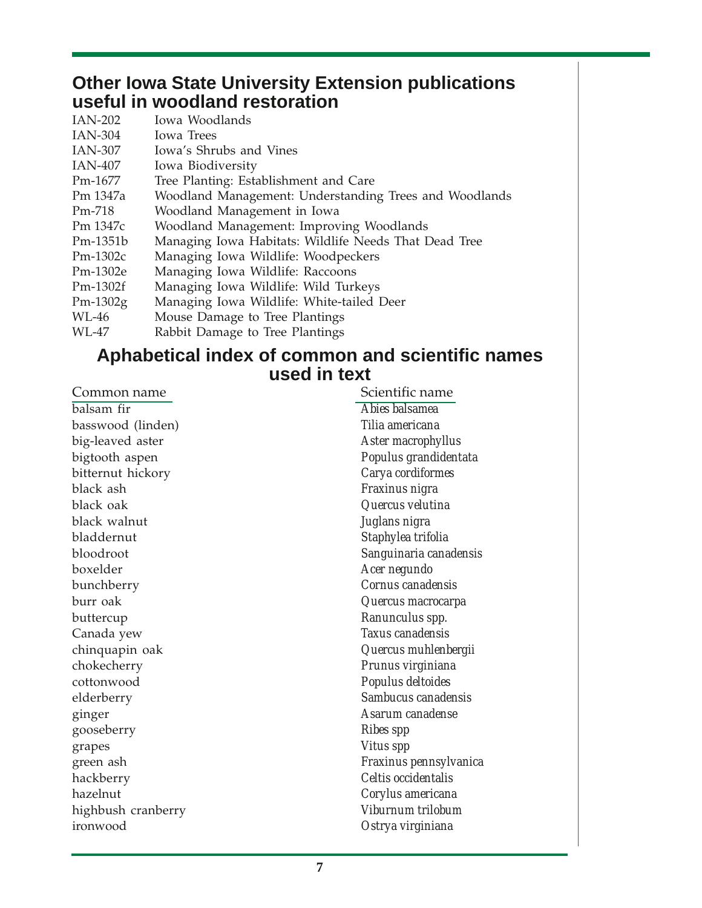# **Other Iowa State University Extension publications useful in woodland restoration**

| IAN-202    | Iowa Woodlands                                         |
|------------|--------------------------------------------------------|
| IAN-304    | <b>Iowa Trees</b>                                      |
| IAN-307    | Iowa's Shrubs and Vines                                |
| IAN-407    | Iowa Biodiversity                                      |
| Pm-1677    | Tree Planting: Establishment and Care                  |
| Pm 1347a   | Woodland Management: Understanding Trees and Woodlands |
| Pm-718     | Woodland Management in Iowa                            |
| Pm 1347c   | Woodland Management: Improving Woodlands               |
| Pm-1351b   | Managing Iowa Habitats: Wildlife Needs That Dead Tree  |
| $Pm-1302c$ | Managing Iowa Wildlife: Woodpeckers                    |
| Pm-1302e   | Managing Iowa Wildlife: Raccoons                       |
| $Pm-1302f$ | Managing Iowa Wildlife: Wild Turkeys                   |
| $Pm-1302g$ | Managing Iowa Wildlife: White-tailed Deer              |
| WL-46      | Mouse Damage to Tree Plantings                         |
| WL-47      | Rabbit Damage to Tree Plantings                        |

# **Aphabetical index of common and scientific names used in text**

| Common name        | Scientific name        |
|--------------------|------------------------|
| balsam fir         | Abies balsamea         |
| basswood (linden)  | Tilia americana        |
| big-leaved aster   | Aster macrophyllus     |
| bigtooth aspen     | Populus grandidentata  |
| bitternut hickory  | Carya cordiformes      |
| black ash          | Fraxinus nigra         |
| black oak          | Quercus velutina       |
| black walnut       | Juglans nigra          |
| bladdernut         | Staphylea trifolia     |
| bloodroot          | Sanguinaria canadensis |
| boxelder           | Acer negundo           |
| bunchberry         | Cornus canadensis      |
| burr oak           | Quercus macrocarpa     |
| buttercup          | Ranunculus spp.        |
| Canada yew         | Taxus canadensis       |
| chinquapin oak     | Quercus muhlenbergii   |
| chokecherry        | Prunus virginiana      |
| cottonwood         | Populus deltoides      |
| elderberry         | Sambucus canadensis    |
| ginger             | Asarum canadense       |
| gooseberry         | <b>Ribes spp</b>       |
| grapes             | <b>Vitus spp</b>       |
| green ash          | Fraxinus pennsylvanica |
| hackberry          | Celtis occidentalis    |
| hazelnut           | Corylus americana      |
| highbush cranberry | Viburnum trilobum      |
| ironwood           | Ostrya virginiana      |
|                    |                        |